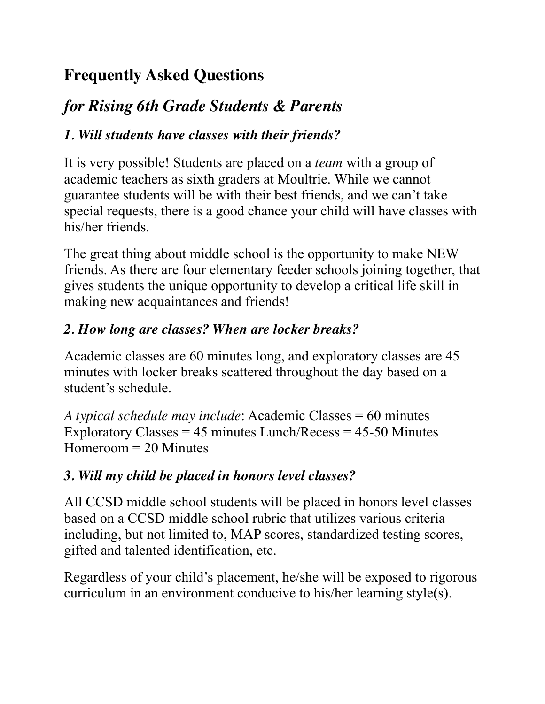# **Frequently Asked Questions**

# *for Rising 6th Grade Students & Parents*

# *1. Will students have classes with their friends?*

It is very possible! Students are placed on a *team* with a group of academic teachers as sixth graders at Moultrie. While we cannot guarantee students will be with their best friends, and we can't take special requests, there is a good chance your child will have classes with his/her friends.

The great thing about middle school is the opportunity to make NEW friends. As there are four elementary feeder schools joining together, that gives students the unique opportunity to develop a critical life skill in making new acquaintances and friends!

### *2. How long are classes? When are locker breaks?*

Academic classes are 60 minutes long, and exploratory classes are 45 minutes with locker breaks scattered throughout the day based on a student's schedule.

*A typical schedule may include*: Academic Classes = 60 minutes Exploratory Classes  $= 45$  minutes Lunch/Recess  $= 45-50$  Minutes Homeroom = 20 Minutes

# *3. Will my child be placed in honors level classes?*

All CCSD middle school students will be placed in honors level classes based on a CCSD middle school rubric that utilizes various criteria including, but not limited to, MAP scores, standardized testing scores, gifted and talented identification, etc.

Regardless of your child's placement, he/she will be exposed to rigorous curriculum in an environment conducive to his/her learning style(s).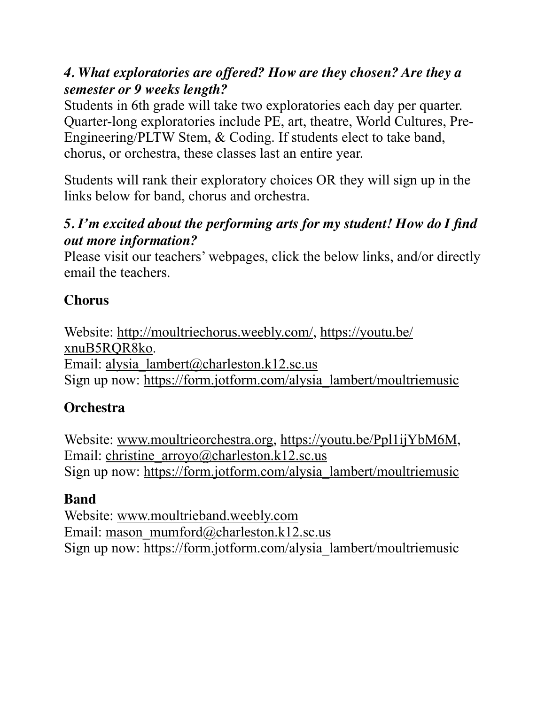#### *4. What exploratories are offered? How are they chosen? Are they a semester or 9 weeks length?*

Students in 6th grade will take two exploratories each day per quarter. Quarter-long exploratories include PE, art, theatre, World Cultures, Pre-Engineering/PLTW Stem, & Coding. If students elect to take band, chorus, or orchestra, these classes last an entire year.

Students will rank their exploratory choices OR they will sign up in the links below for band, chorus and orchestra.

#### *5. I'm excited about the performing arts for my student! How do I find out more information?*

Please visit our teachers' webpages, click the below links, and/or directly email the teachers.

# **Chorus**

Website: [http://moultriechorus.weebly.com/,](http://moultriechorus.weebly.com/) [https://youtu.be/](https://youtu.be/xnuB5RQR8ko) [xnuB5RQR8ko.](https://youtu.be/xnuB5RQR8ko) Email: [alysia\\_lambert@charleston.k12.sc.us](mailto:alysia_lambert@charleston.k12.sc.us) Sign up now: [https://form.jotform.com/alysia\\_lambert/moultriemusic](https://form.jotform.com/alysia_lambert/moultriemusic)

# **Orchestra**

Website: [www.moultrieorchestra.org](http://www.moultrieorchestra.org), [https://youtu.be/Ppl1ijYbM6M,](https://youtu.be/Ppl1ijYbM6M) Email: [christine\\_arroyo@charleston.k12.sc.us](mailto:christine_arroyo@charleston.k12.sc.us) Sign up now: [https://form.jotform.com/alysia\\_lambert/moultriemusic](https://form.jotform.com/alysia_lambert/moultriemusic)

# **Band**

Website: [www.moultrieband.weebly.com](http://www.moultrieband.weebly.com) Email: [mason\\_mumford@charleston.k12.sc.us](mailto:mason_mumford@charleston.k12.sc.us) Sign up now: [https://form.jotform.com/alysia\\_lambert/moultriemusic](https://form.jotform.com/alysia_lambert/moultriemusic)